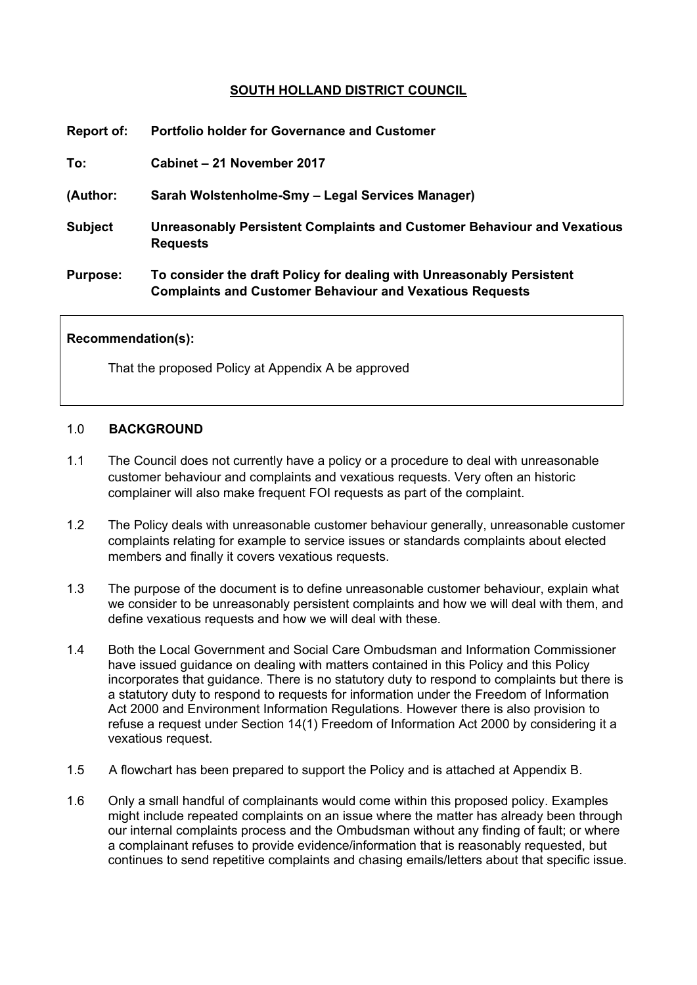# **SOUTH HOLLAND DISTRICT COUNCIL**

| Report of:      | <b>Portfolio holder for Governance and Customer</b>                                                                                      |
|-----------------|------------------------------------------------------------------------------------------------------------------------------------------|
| To:             | Cabinet - 21 November 2017                                                                                                               |
| (Author:        | Sarah Wolstenholme-Smy - Legal Services Manager)                                                                                         |
| <b>Subject</b>  | Unreasonably Persistent Complaints and Customer Behaviour and Vexatious<br><b>Requests</b>                                               |
| <b>Purpose:</b> | To consider the draft Policy for dealing with Unreasonably Persistent<br><b>Complaints and Customer Behaviour and Vexatious Requests</b> |

#### **Recommendation(s):**

That the proposed Policy at Appendix A be approved

### 1.0 **BACKGROUND**

- 1.1 The Council does not currently have a policy or a procedure to deal with unreasonable customer behaviour and complaints and vexatious requests. Very often an historic complainer will also make frequent FOI requests as part of the complaint.
- 1.2 The Policy deals with unreasonable customer behaviour generally, unreasonable customer complaints relating for example to service issues or standards complaints about elected members and finally it covers vexatious requests.
- 1.3 The purpose of the document is to define unreasonable customer behaviour, explain what we consider to be unreasonably persistent complaints and how we will deal with them, and define vexatious requests and how we will deal with these.
- 1.4 Both the Local Government and Social Care Ombudsman and Information Commissioner have issued guidance on dealing with matters contained in this Policy and this Policy incorporates that guidance. There is no statutory duty to respond to complaints but there is a statutory duty to respond to requests for information under the Freedom of Information Act 2000 and Environment Information Regulations. However there is also provision to refuse a request under Section 14(1) Freedom of Information Act 2000 by considering it a vexatious request.
- 1.5 A flowchart has been prepared to support the Policy and is attached at Appendix B.
- 1.6 Only a small handful of complainants would come within this proposed policy. Examples might include repeated complaints on an issue where the matter has already been through our internal complaints process and the Ombudsman without any finding of fault; or where a complainant refuses to provide evidence/information that is reasonably requested, but continues to send repetitive complaints and chasing emails/letters about that specific issue.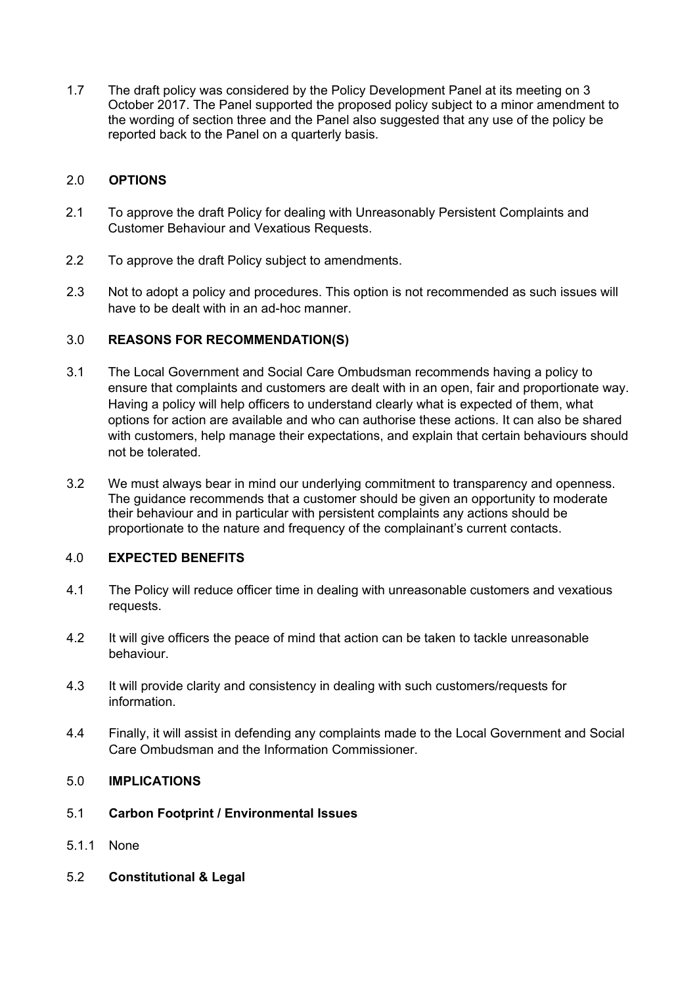1.7 The draft policy was considered by the Policy Development Panel at its meeting on 3 October 2017. The Panel supported the proposed policy subject to a minor amendment to the wording of section three and the Panel also suggested that any use of the policy be reported back to the Panel on a quarterly basis.

### 2.0 **OPTIONS**

- 2.1 To approve the draft Policy for dealing with Unreasonably Persistent Complaints and Customer Behaviour and Vexatious Requests.
- 2.2 To approve the draft Policy subject to amendments.
- 2.3 Not to adopt a policy and procedures. This option is not recommended as such issues will have to be dealt with in an ad-hoc manner.

# 3.0 **REASONS FOR RECOMMENDATION(S)**

- 3.1 The Local Government and Social Care Ombudsman recommends having a policy to ensure that complaints and customers are dealt with in an open, fair and proportionate way. Having a policy will help officers to understand clearly what is expected of them, what options for action are available and who can authorise these actions. It can also be shared with customers, help manage their expectations, and explain that certain behaviours should not be tolerated.
- 3.2 We must always bear in mind our underlying commitment to transparency and openness. The guidance recommends that a customer should be given an opportunity to moderate their behaviour and in particular with persistent complaints any actions should be proportionate to the nature and frequency of the complainant's current contacts.

### 4.0 **EXPECTED BENEFITS**

- 4.1 The Policy will reduce officer time in dealing with unreasonable customers and vexatious requests.
- 4.2 It will give officers the peace of mind that action can be taken to tackle unreasonable behaviour.
- 4.3 It will provide clarity and consistency in dealing with such customers/requests for information.
- 4.4 Finally, it will assist in defending any complaints made to the Local Government and Social Care Ombudsman and the Information Commissioner.

### 5.0 **IMPLICATIONS**

### 5.1 **Carbon Footprint / Environmental Issues**

- 5.1.1 None
- 5.2 **Constitutional & Legal**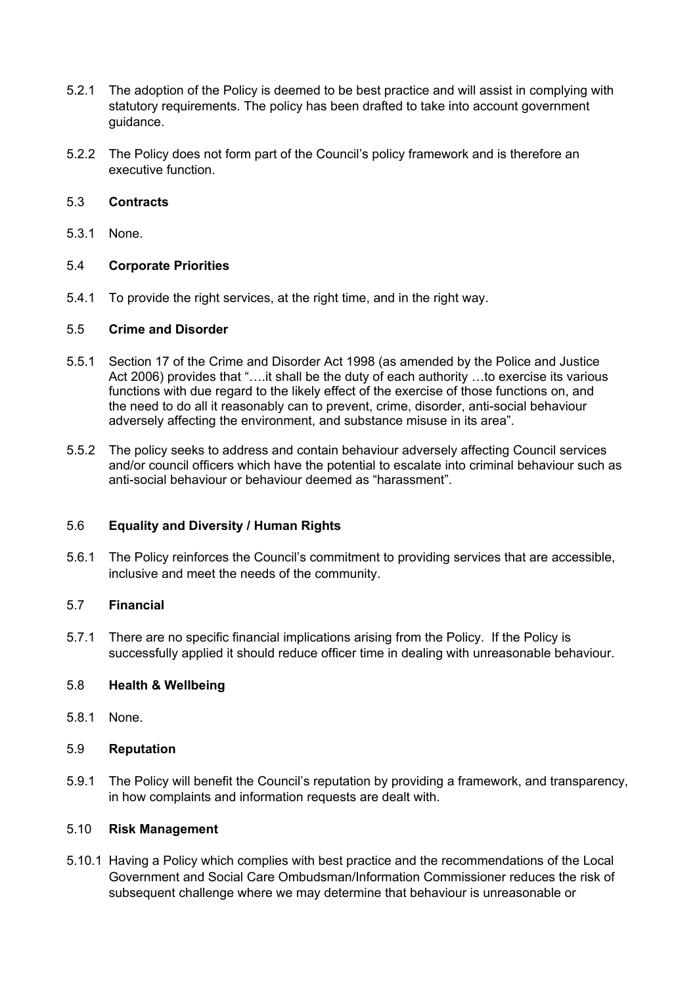- 5.2.1 The adoption of the Policy is deemed to be best practice and will assist in complying with statutory requirements. The policy has been drafted to take into account government guidance.
- 5.2.2 The Policy does not form part of the Council's policy framework and is therefore an executive function.

### 5.3 **Contracts**

5.3.1 None.

# 5.4 **Corporate Priorities**

5.4.1 To provide the right services, at the right time, and in the right way.

### 5.5 **Crime and Disorder**

- 5.5.1 Section 17 of the Crime and Disorder Act 1998 (as amended by the Police and Justice Act 2006) provides that "....it shall be the duty of each authority ...to exercise its various functions with due regard to the likely effect of the exercise of those functions on, and the need to do all it reasonably can to prevent, crime, disorder, anti-social behaviour adversely affecting the environment, and substance misuse in its area".
- 5.5.2 The policy seeks to address and contain behaviour adversely affecting Council services and/or council officers which have the potential to escalate into criminal behaviour such as anti-social behaviour or behaviour deemed as "harassment".

### 5.6 **Equality and Diversity / Human Rights**

5.6.1 The Policy reinforces the Council's commitment to providing services that are accessible, inclusive and meet the needs of the community.

### 5.7 **Financial**

5.7.1 There are no specific financial implications arising from the Policy. If the Policy is successfully applied it should reduce officer time in dealing with unreasonable behaviour.

# 5.8 **Health & Wellbeing**

5.8.1 None.

### 5.9 **Reputation**

5.9.1 The Policy will benefit the Council's reputation by providing a framework, and transparency, in how complaints and information requests are dealt with.

### 5.10 **Risk Management**

5.10.1 Having a Policy which complies with best practice and the recommendations of the Local Government and Social Care Ombudsman/Information Commissioner reduces the risk of subsequent challenge where we may determine that behaviour is unreasonable or